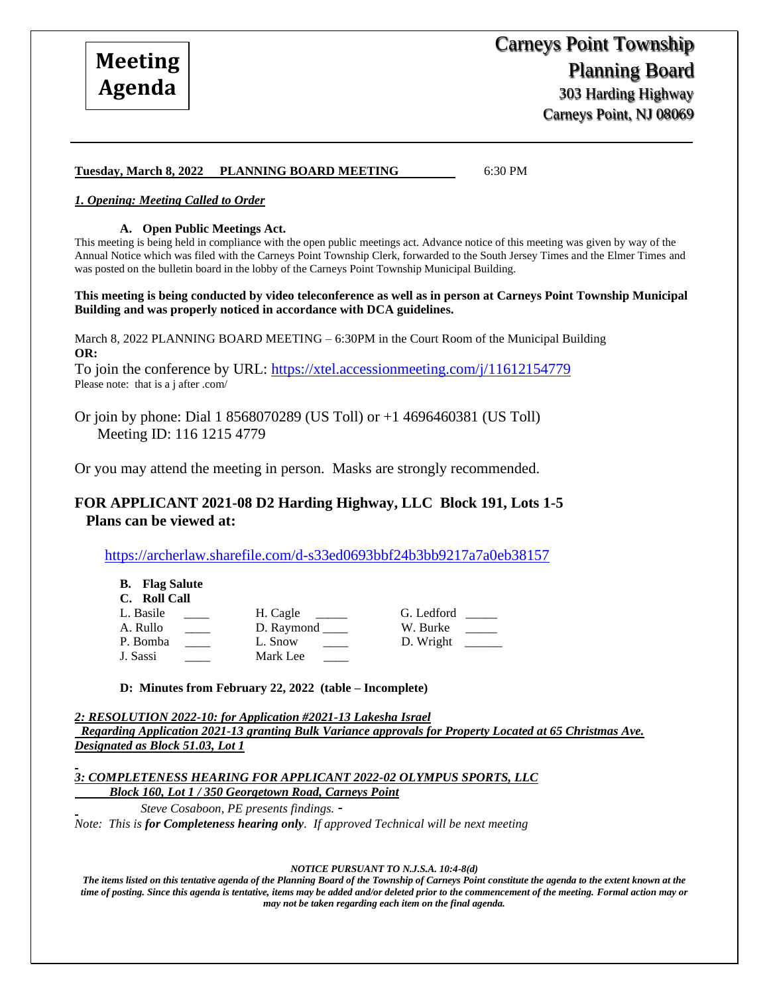### **Tuesday, March 8, 2022 PLANNING BOARD MEETING** 6:30 PM

### *1. Opening: Meeting Called to Order*

#### **A. Open Public Meetings Act.**

This meeting is being held in compliance with the open public meetings act. Advance notice of this meeting was given by way of the Annual Notice which was filed with the Carneys Point Township Clerk, forwarded to the South Jersey Times and the Elmer Times and was posted on the bulletin board in the lobby of the Carneys Point Township Municipal Building.

**This meeting is being conducted by video teleconference as well as in person at Carneys Point Township Municipal Building and was properly noticed in accordance with DCA guidelines.**

March 8, 2022 PLANNING BOARD MEETING – 6:30PM in the Court Room of the Municipal Building **OR:**

To join the conference by URL:<https://xtel.accessionmeeting.com/j/11612154779> Please note: that is a j after .com/

Or join by phone: Dial 1 8568070289 (US Toll) or +1 4696460381 (US Toll) Meeting ID: 116 1215 4779

Or you may attend the meeting in person. Masks are strongly recommended.

## **FOR APPLICANT 2021-08 D2 Harding Highway, LLC Block 191, Lots 1-5 Plans can be viewed at:**

<https://archerlaw.sharefile.com/d-s33ed0693bbf24b3bb9217a7a0eb38157>

| <b>B.</b> Flag Salute |            |            |
|-----------------------|------------|------------|
| C. Roll Call          |            |            |
| L. Basile             | H. Cagle   | G. Ledford |
| A. Rullo              | D. Raymond | W. Burke   |
| P. Bomba              | L. Snow    | D. Wright  |
| J. Sassi              | Mark Lee   |            |

**D: Minutes from February 22, 2022 (table – Incomplete)**

*2: RESOLUTION 2022-10: for Application #2021-13 Lakesha Israel Regarding Application 2021-13 granting Bulk Variance approvals for Property Located at 65 Christmas Ave. Designated as Block 51.03, Lot 1*

*3: COMPLETENESS HEARING FOR APPLICANT 2022-02 OLYMPUS SPORTS, LLC Block 160, Lot 1 / 350 Georgetown Road, Carneys Point* 

 *Steve Cosaboon, PE presents findings.* - *Note: This is for Completeness hearing only. If approved Technical will be next meeting* 

*NOTICE PURSUANT TO N.J.S.A. 10:4-8(d)*

*The items listed on this tentative agenda of the Planning Board of the Township of Carneys Point constitute the agenda to the extent known at the time of posting. Since this agenda is tentative, items may be added and/or deleted prior to the commencement of the meeting. Formal action may or may not be taken regarding each item on the final agenda.*